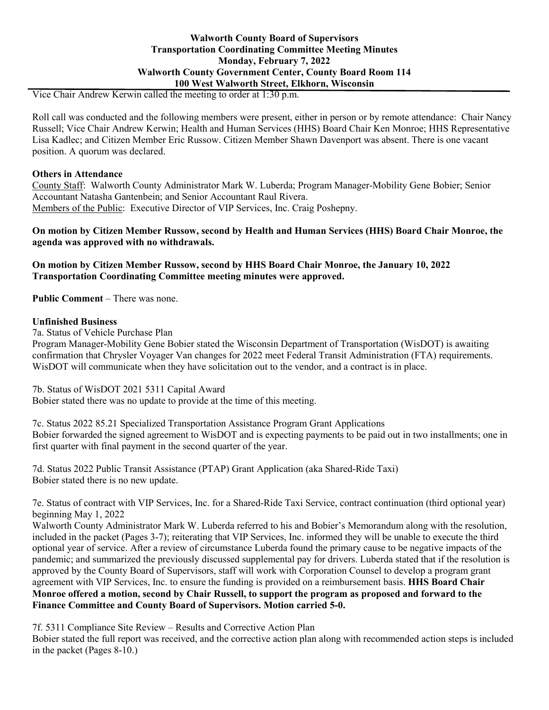Vice Chair Andrew Kerwin called the meeting to order at 1:30 p.m.

Roll call was conducted and the following members were present, either in person or by remote attendance: Chair Nancy Russell; Vice Chair Andrew Kerwin; Health and Human Services (HHS) Board Chair Ken Monroe; HHS Representative Lisa Kadlec; and Citizen Member Eric Russow. Citizen Member Shawn Davenport was absent. There is one vacant position. A quorum was declared.

### **Others in Attendance**

County Staff: Walworth County Administrator Mark W. Luberda; Program Manager-Mobility Gene Bobier; Senior Accountant Natasha Gantenbein; and Senior Accountant Raul Rivera. Members of the Public: Executive Director of VIP Services, Inc. Craig Poshepny.

**On motion by Citizen Member Russow, second by Health and Human Services (HHS) Board Chair Monroe, the agenda was approved with no withdrawals.**

**On motion by Citizen Member Russow, second by HHS Board Chair Monroe, the January 10, 2022 Transportation Coordinating Committee meeting minutes were approved.**

**Public Comment** – There was none.

# **Unfinished Business**

7a. Status of Vehicle Purchase Plan

Program Manager-Mobility Gene Bobier stated the Wisconsin Department of Transportation (WisDOT) is awaiting confirmation that Chrysler Voyager Van changes for 2022 meet Federal Transit Administration (FTA) requirements. WisDOT will communicate when they have solicitation out to the vendor, and a contract is in place.

7b. Status of WisDOT 2021 5311 Capital Award Bobier stated there was no update to provide at the time of this meeting.

7c. Status 2022 85.21 Specialized Transportation Assistance Program Grant Applications Bobier forwarded the signed agreement to WisDOT and is expecting payments to be paid out in two installments; one in first quarter with final payment in the second quarter of the year.

7d. Status 2022 Public Transit Assistance (PTAP) Grant Application (aka Shared-Ride Taxi) Bobier stated there is no new update.

7e. Status of contract with VIP Services, Inc. for a Shared-Ride Taxi Service, contract continuation (third optional year) beginning May 1, 2022

Walworth County Administrator Mark W. Luberda referred to his and Bobier's Memorandum along with the resolution, included in the packet (Pages 3-7); reiterating that VIP Services, Inc. informed they will be unable to execute the third optional year of service. After a review of circumstance Luberda found the primary cause to be negative impacts of the pandemic; and summarized the previously discussed supplemental pay for drivers. Luberda stated that if the resolution is approved by the County Board of Supervisors, staff will work with Corporation Counsel to develop a program grant agreement with VIP Services, Inc. to ensure the funding is provided on a reimbursement basis. **HHS Board Chair Monroe offered a motion, second by Chair Russell, to support the program as proposed and forward to the Finance Committee and County Board of Supervisors. Motion carried 5-0.**

7f. 5311 Compliance Site Review – Results and Corrective Action Plan

Bobier stated the full report was received, and the corrective action plan along with recommended action steps is included in the packet (Pages 8-10.)